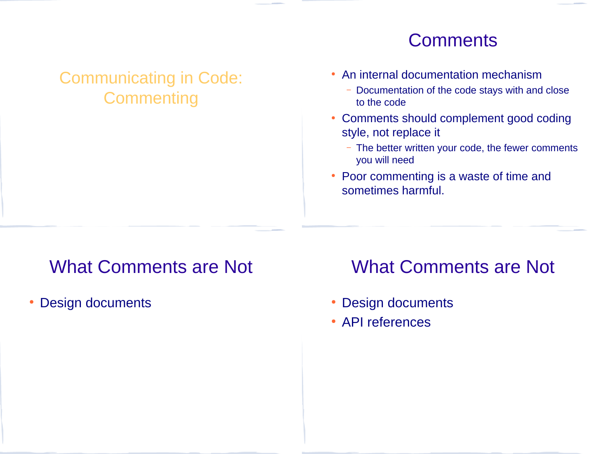#### Communicating in Code: **Commenting**

#### **Comments**

- An internal documentation mechanism
	- Documentation of the code stays with and close to the code
- Comments should complement good coding style, not replace it
	- The better written your code, the fewer comments you will need
- Poor commenting is a waste of time and sometimes harmful.

# What Comments are Not

• Design documents

## What Comments are Not

- Design documents
- API references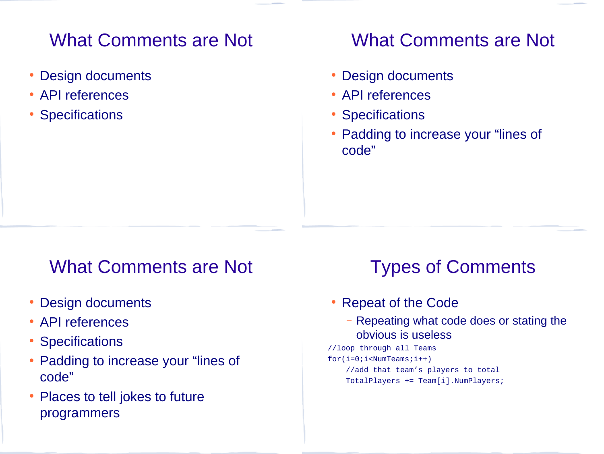## What Comments are Not

- Design documents
- API references
- **Specifications**

### What Comments are Not

- Design documents
- API references
- Specifications
- Padding to increase your "lines of code"

#### What Comments are Not

- Design documents
- API references
- Specifications
- Padding to increase your "lines of code"
- Places to tell jokes to future programmers

# Types of Comments

- Repeat of the Code
	- Repeating what code does or stating the obvious is useless
- //loop through all Teams for(i=0;i<NumTeams;i++) //add that team's players to total TotalPlayers += Team[i].NumPlayers;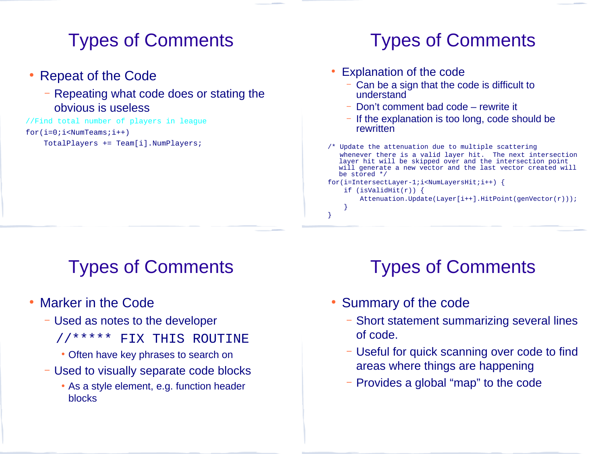## Types of Comments

- Repeat of the Code
	- Repeating what code does or stating the obvious is useless

//Find total number of players in league for(i=0;i<NumTeams;i++) TotalPlayers += Team[i].NumPlayers;

# Types of Comments

- Explanation of the code
	- Can be a sign that the code is difficult to understand
	- Don't comment bad code rewrite it
	- If the explanation is too long, code should be rewritten
- /\* Update the attenuation due to multiple scattering whenever there is a valid layer hit. The next intersection layer hit will be skipped over and the intersection point will generate a new vector and the last vector created will be stored  $^*/$ for(i=IntersectLayer-1;i<NumLayersHit;i++) { if (isValidHit(r)) { Attenuation.Update(Layer[i++].HitPoint(genVector(r)));

## Types of Comments

- Marker in the Code
	- Used as notes to the developer
		- //\*\*\*\*\* FIX THIS ROUTINE
		- Often have key phrases to search on
	- Used to visually separate code blocks
		- As a style element, e.g. function header blocks

# Types of Comments

• Summary of the code

}

}

- Short statement summarizing several lines of code.
- Useful for quick scanning over code to find areas where things are happening
- Provides a global "map" to the code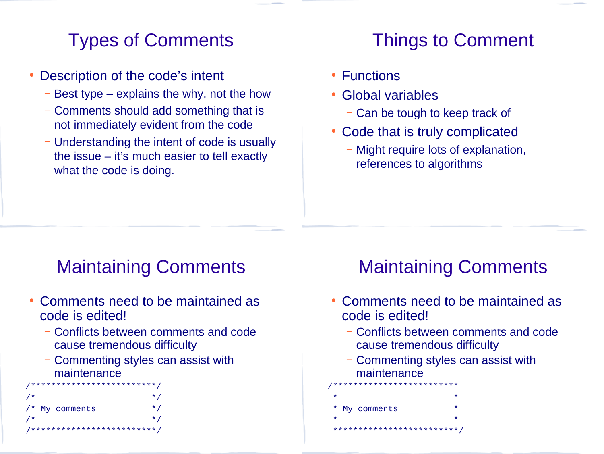# Types of Comments

- Description of the code's intent
	- Best type explains the why, not the how
	- Comments should add something that is not immediately evident from the code
	- Understanding the intent of code is usually the issue – it's much easier to tell exactly what the code is doing.

# Things to Comment

- Functions
- Global variables
	- Can be tough to keep track of
- Code that is truly complicated
	- Might require lots of explanation, references to algorithms

# Maintaining Comments

- Comments need to be maintained as code is edited!
	- Conflicts between comments and code cause tremendous difficulty
	- Commenting styles can assist with maintenance



# Maintaining Comments

- Comments need to be maintained as code is edited!
	- Conflicts between comments and code cause tremendous difficulty
	- Commenting styles can assist with maintenance
- /\*\*\*\*\*\*\*\*\*\*\*\*\*\*\*\*\*\*\*\*\*\*\*\*\*  $\star$  \*  $\star$ My comments  $\star$  \*  $\star$ \*\*\*\*\*\*\*\*\*\*\*\*\*\*\*\*\*\*\*\*\*\*\*\*\*/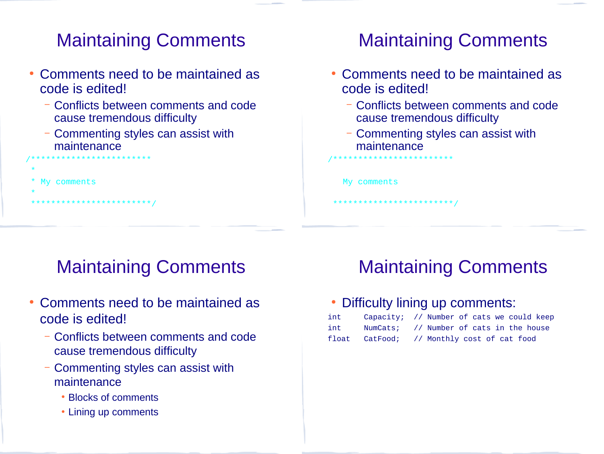# Maintaining Comments

- Comments need to be maintained as code is edited!
	- Conflicts between comments and code cause tremendous difficulty
	- Commenting styles can assist with maintenance

/\*\*\*\*\*\*\*\*\*\*\*\*\*\*\*\*\*\*\*\*\*\*\*\*

\*\*\*\*\*\*\*\*\*\*\*\*\*\*\*\*\*\*\*/

My comments

\*

\*

# Maintaining Comments

- Comments need to be maintained as code is edited!
	- Conflicts between comments and code cause tremendous difficulty
	- Commenting styles can assist with maintenance

My comments

/\*\*\*\*\*\*\*\*\*\*\*\*\*\*\*\*\*\*\*\*\*\*\*\*

\*\*\*\*\*\*\*\*\*\*\*\*\*\*\*\*\*\*\*\*\*\*\*\*/

# Maintaining Comments

- Comments need to be maintained as code is edited!
	- Conflicts between comments and code cause tremendous difficulty
	- Commenting styles can assist with maintenance
		- Blocks of comments
		- Lining up comments

# Maintaining Comments

#### • Difficulty lining up comments:

| int | Capacity; // Number of cats we could keep  |
|-----|--------------------------------------------|
| int | NumCats; // Number of cats in the house    |
|     | float CatFood; // Monthly cost of cat food |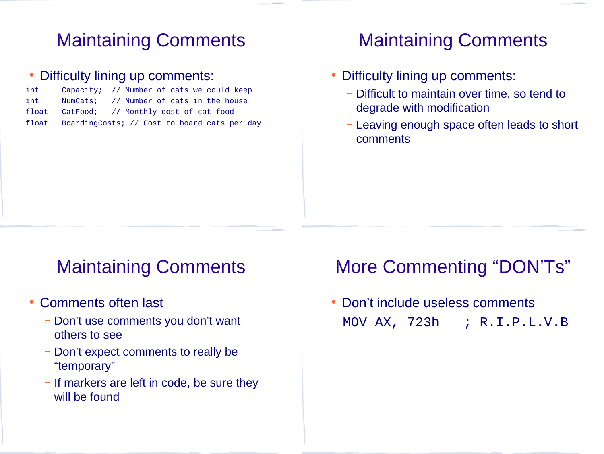## Maintaining Comments

#### • Difficulty lining up comments:

| int   | Capacity; // Number of cats we could keep          |  |  |  |  |
|-------|----------------------------------------------------|--|--|--|--|
| int   | NumCats; // Number of cats in the house            |  |  |  |  |
| float | CatFood; // Monthly cost of cat food               |  |  |  |  |
|       | float BoardingCosts; // Cost to board cats per day |  |  |  |  |

### Maintaining Comments

- Difficulty lining up comments:
	- Difficult to maintain over time, so tend to degrade with modification
	- Leaving enough space often leads to short comments

### Maintaining Comments

- Comments often last
	- Don't use comments you don't want others to see
	- Don't expect comments to really be "temporary"
	- If markers are left in code, be sure they will be found

### More Commenting "DON'Ts"

• Don't include useless comments MOV AX, 723h ; R.I.P.L.V.B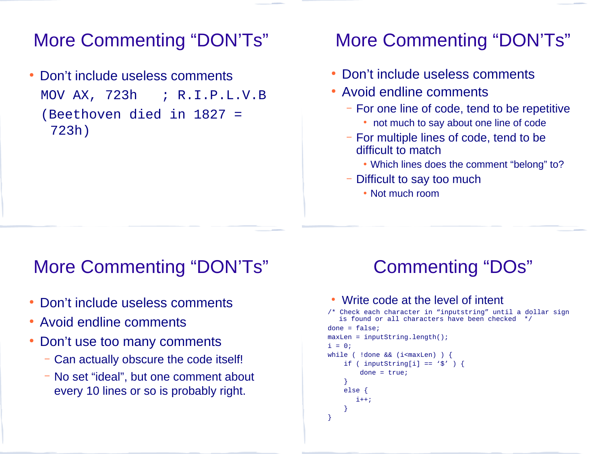### More Commenting "DON'Ts"

Don't include useless comments MOV AX, 723h ; R.I.P.L.V.B (Beethoven died in 1827 = 723h)

### More Commenting "DON'Ts"

- Don't include useless comments
- Avoid endline comments
	- For one line of code, tend to be repetitive
		- not much to say about one line of code
	- For multiple lines of code, tend to be difficult to match
		- Which lines does the comment "belong" to?
	- Difficult to say too much
		- Not much room

### More Commenting "DON'Ts"

- Don't include useless comments
- Avoid endline comments
- Don't use too many comments
	- Can actually obscure the code itself!
	- No set "ideal", but one comment about every 10 lines or so is probably right.

# Commenting "DOs"

#### • Write code at the level of intent

```
/* Check each character in "inputstring" until a dollar sign 
   is found or all characters have been checked */
done = false;
maxLen = inputString.length();
i = 0;while ( !done && (i<maxLen) ) {
    if ( inputString[i] == \langle \frac{1}{2} \rangle ) {
        done = true;
 }
     else {
```

```
 }
}
```
i++;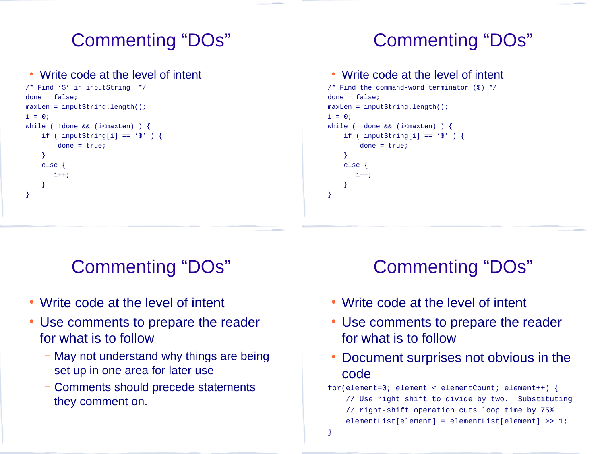# Commenting "DOs"

#### • Write code at the level of intent

```
/* Find '$' in inputString */
done = false;
maxLen = inputString.length();
i = 0;while ( !done && (i<maxLen) ) {
    if ( inputString[i] == \langle \frac{1}{3} \rangle ) {
         done = true; }
     else {
        i++; }
}
```
# Commenting "DOs"

#### • Write code at the level of intent

```
/* Find the command-word terminator ($) */
done = false;
maxLen = inputString.length();
i = 0;while ( !done && (i<maxLen) ) {
    if ( inputString[i] == \langle \frac{1}{3} \rangle ) {
         done = true; }
     else {
        i++; }
}
```
# Commenting "DOs"

- Write code at the level of intent
- Use comments to prepare the reader for what is to follow
	- May not understand why things are being set up in one area for later use
	- Comments should precede statements they comment on.

# Commenting "DOs"

- Write code at the level of intent
- Use comments to prepare the reader for what is to follow
- Document surprises not obvious in the code
- for(element=0; element < elementCount; element++) { // Use right shift to divide by two. Substituting // right-shift operation cuts loop time by 75% elementList[element] = elementList[element] >> 1;
- }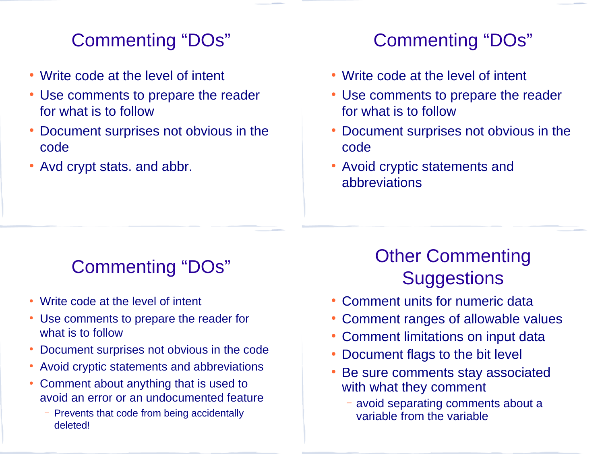# Commenting "DOs"

- Write code at the level of intent
- Use comments to prepare the reader for what is to follow
- Document surprises not obvious in the code
- Avd crypt stats. and abbr.

# Commenting "DOs"

- Write code at the level of intent
- Use comments to prepare the reader for what is to follow
- Document surprises not obvious in the code
- Avoid cryptic statements and abbreviations

# Commenting "DOs"

- Write code at the level of intent
- Use comments to prepare the reader for what is to follow
- Document surprises not obvious in the code
- Avoid cryptic statements and abbreviations
- Comment about anything that is used to avoid an error or an undocumented feature
	- Prevents that code from being accidentally deleted!

# Other Commenting **Suggestions**

- Comment units for numeric data
- Comment ranges of allowable values
- Comment limitations on input data
- Document flags to the bit level
- Be sure comments stay associated with what they comment
	- avoid separating comments about a variable from the variable